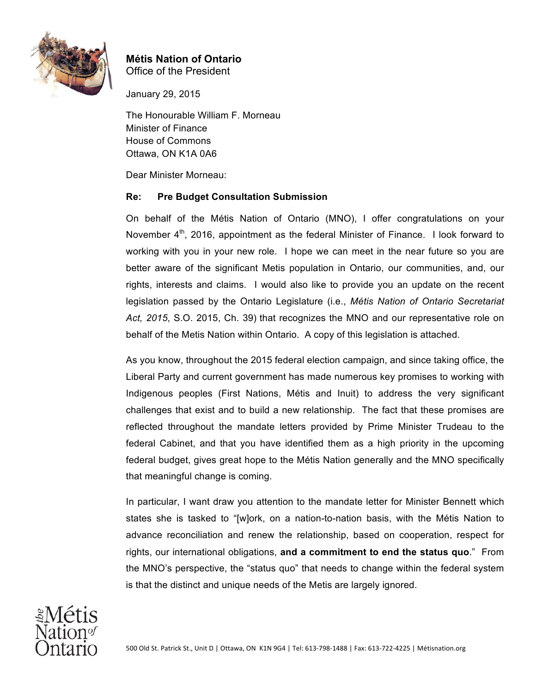

## **Métis Nation of Ontario** Office of the President

January 29, 2015

The Honourable William F. Morneau Minister of Finance House of Commons Ottawa, ON K1A 0A6

Dear Minister Morneau:

## **Re: Pre Budget Consultation Submission**

On behalf of the Métis Nation of Ontario (MNO), I offer congratulations on your November  $4<sup>th</sup>$ , 2016, appointment as the federal Minister of Finance. I look forward to working with you in your new role. I hope we can meet in the near future so you are better aware of the significant Metis population in Ontario, our communities, and, our rights, interests and claims. I would also like to provide you an update on the recent legislation passed by the Ontario Legislature (i.e., *Métis Nation of Ontario Secretariat Act, 2015*, S.O. 2015, Ch. 39) that recognizes the MNO and our representative role on behalf of the Metis Nation within Ontario. A copy of this legislation is attached.

As you know, throughout the 2015 federal election campaign, and since taking office, the Liberal Party and current government has made numerous key promises to working with Indigenous peoples (First Nations, Métis and Inuit) to address the very significant challenges that exist and to build a new relationship. The fact that these promises are reflected throughout the mandate letters provided by Prime Minister Trudeau to the federal Cabinet, and that you have identified them as a high priority in the upcoming federal budget, gives great hope to the Métis Nation generally and the MNO specifically that meaningful change is coming.

In particular, I want draw you attention to the mandate letter for Minister Bennett which states she is tasked to "[w]ork, on a nation-to-nation basis, with the Métis Nation to advance reconciliation and renew the relationship, based on cooperation, respect for rights, our international obligations, **and a commitment to end the status quo**." From the MNO's perspective, the "status quo" that needs to change within the federal system is that the distinct and unique needs of the Metis are largely ignored.

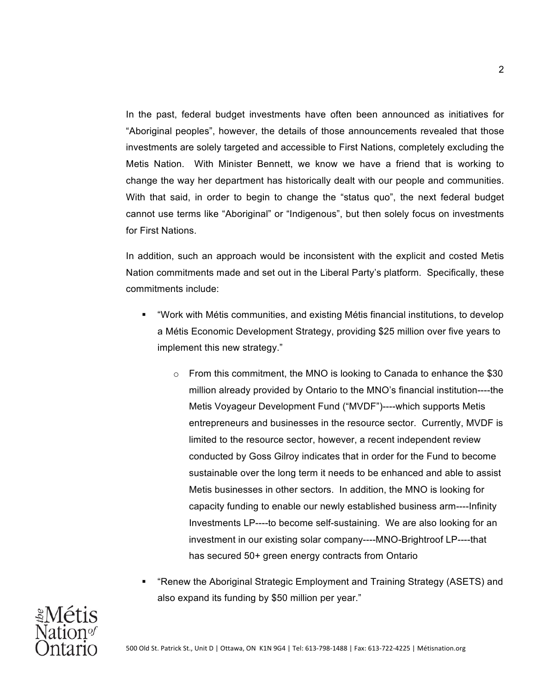In the past, federal budget investments have often been announced as initiatives for "Aboriginal peoples", however, the details of those announcements revealed that those investments are solely targeted and accessible to First Nations, completely excluding the Metis Nation. With Minister Bennett, we know we have a friend that is working to change the way her department has historically dealt with our people and communities. With that said, in order to begin to change the "status quo", the next federal budget cannot use terms like "Aboriginal" or "Indigenous", but then solely focus on investments for First Nations.

In addition, such an approach would be inconsistent with the explicit and costed Metis Nation commitments made and set out in the Liberal Party's platform. Specifically, these commitments include:

- § "Work with Métis communities, and existing Métis financial institutions, to develop a Métis Economic Development Strategy, providing \$25 million over five years to implement this new strategy."
	- $\circ$  From this commitment, the MNO is looking to Canada to enhance the \$30 million already provided by Ontario to the MNO's financial institution----the Metis Voyageur Development Fund ("MVDF")----which supports Metis entrepreneurs and businesses in the resource sector. Currently, MVDF is limited to the resource sector, however, a recent independent review conducted by Goss Gilroy indicates that in order for the Fund to become sustainable over the long term it needs to be enhanced and able to assist Metis businesses in other sectors. In addition, the MNO is looking for capacity funding to enable our newly established business arm----Infinity Investments LP----to become self-sustaining. We are also looking for an investment in our existing solar company----MNO-Brightroof LP----that has secured 50+ green energy contracts from Ontario
- § "Renew the Aboriginal Strategic Employment and Training Strategy (ASETS) and also expand its funding by \$50 million per year."

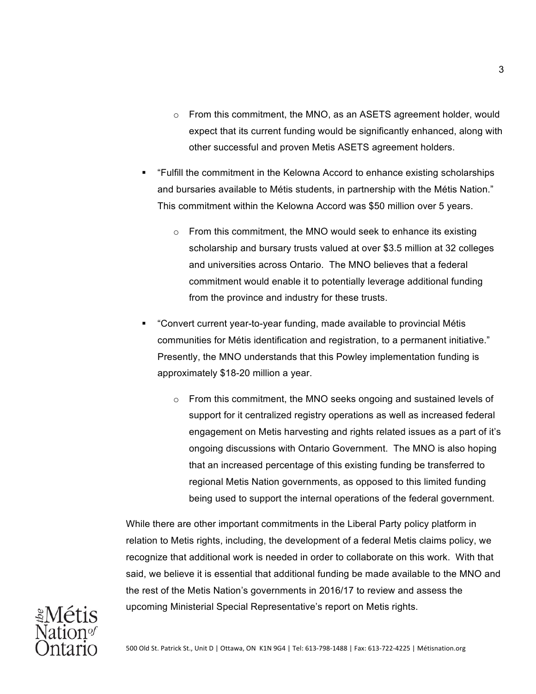- $\circ$  From this commitment, the MNO, as an ASETS agreement holder, would expect that its current funding would be significantly enhanced, along with other successful and proven Metis ASETS agreement holders.
- § "Fulfill the commitment in the Kelowna Accord to enhance existing scholarships and bursaries available to Métis students, in partnership with the Métis Nation." This commitment within the Kelowna Accord was \$50 million over 5 years.
	- $\circ$  From this commitment, the MNO would seek to enhance its existing scholarship and bursary trusts valued at over \$3.5 million at 32 colleges and universities across Ontario. The MNO believes that a federal commitment would enable it to potentially leverage additional funding from the province and industry for these trusts.
- § "Convert current year-to-year funding, made available to provincial Métis communities for Métis identification and registration, to a permanent initiative." Presently, the MNO understands that this Powley implementation funding is approximately \$18-20 million a year.
	- $\circ$  From this commitment, the MNO seeks ongoing and sustained levels of support for it centralized registry operations as well as increased federal engagement on Metis harvesting and rights related issues as a part of it's ongoing discussions with Ontario Government. The MNO is also hoping that an increased percentage of this existing funding be transferred to regional Metis Nation governments, as opposed to this limited funding being used to support the internal operations of the federal government.

While there are other important commitments in the Liberal Party policy platform in relation to Metis rights, including, the development of a federal Metis claims policy, we recognize that additional work is needed in order to collaborate on this work. With that said, we believe it is essential that additional funding be made available to the MNO and the rest of the Metis Nation's governments in 2016/17 to review and assess the upcoming Ministerial Special Representative's report on Metis rights.